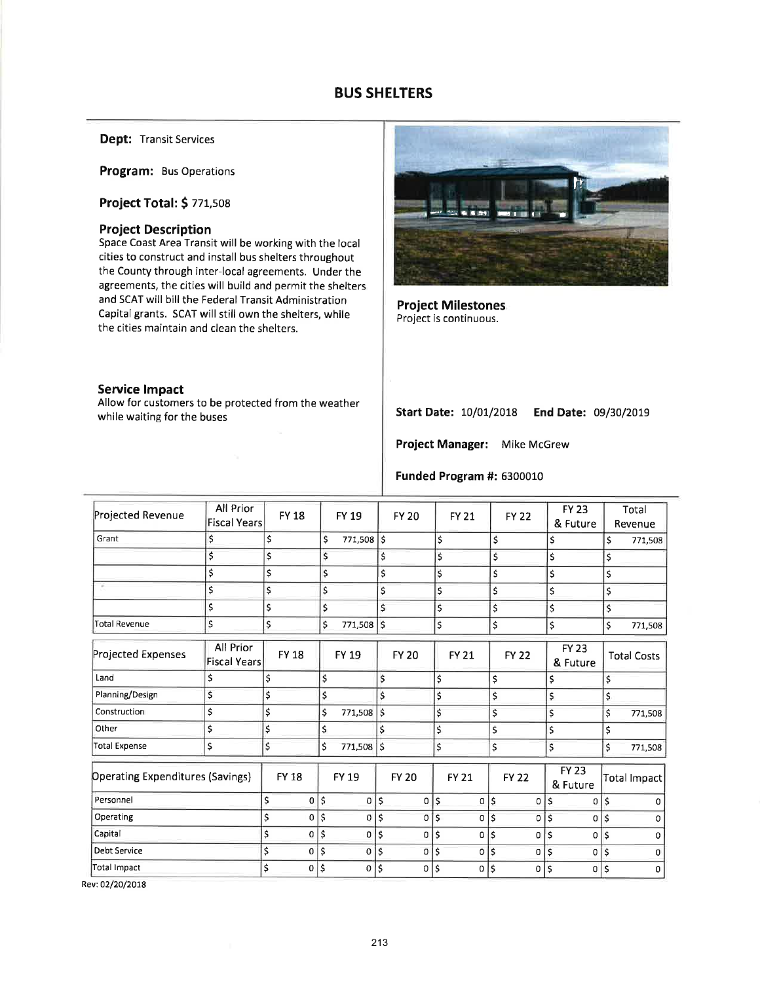Dept: Transit Services

Program: Bus Operations

Project Total: \$ 771,508

## Project Description

Space Coast Area Transit will be working with the local cities to construct and install bus shelters throughout the County through inter-local agreements. Under the agreements, the cities will build and permit the shelters and SCAT will bill the Federal Transit Administration Capital grants. SCAT will still own the shelters, while the cities maintain and clean the shelters.

#### Service lmpact

Allow for customers to be protected from the weather while waiting for the buses



Project Milestones Project is continuous.

Start Date: 10/01/2018 End Date: 09/30/2019

Project Manager: Mike McGrew

## Funded Program #: 6300010

| Projected Revenue                | <b>All Prior</b><br>Fiscal Years | <b>FY 18</b>         |              | <b>FY 19</b> |                    | <b>FY 20</b> | <b>FY 21</b>   |                    | <b>FY 22</b>   |              | <b>FY 23</b><br>& Future |    | Total<br>Revenue   |
|----------------------------------|----------------------------------|----------------------|--------------|--------------|--------------------|--------------|----------------|--------------------|----------------|--------------|--------------------------|----|--------------------|
| Grant                            | \$                               | \$                   | \$           | $771,508$ \$ |                    |              | \$             | \$                 |                | \$           |                          | \$ | 771,508            |
|                                  | \$                               | \$                   | Ś            |              | \$                 |              | \$             | \$                 |                | \$           |                          | \$ |                    |
|                                  | \$                               | \$                   | \$           |              | \$                 |              | \$             | \$                 |                | \$           |                          | \$ |                    |
|                                  | \$                               | \$                   | \$           |              | \$                 |              | \$             | \$                 |                | \$           |                          | \$ |                    |
|                                  | \$                               | \$                   | \$           |              | Ś                  |              | \$             | \$                 |                | \$           |                          | \$ |                    |
| <b>Total Revenue</b>             | Ś                                | \$                   | \$           | 771,508      | \$                 |              | \$             | \$                 |                | \$           |                          | \$ | 771,508            |
| Projected Expenses               | All Prior<br><b>Fiscal Years</b> | FY 18                |              | <b>FY 19</b> |                    | <b>FY 20</b> | <b>FY 21</b>   |                    | <b>FY 22</b>   |              | <b>FY 23</b><br>& Future |    | <b>Total Costs</b> |
| Land                             | \$                               | \$                   | \$           |              | \$                 |              | \$             | \$                 |                | \$           |                          | \$ |                    |
| Planning/Design                  | \$                               | \$                   | \$           |              | $\mathsf{\hat{S}}$ |              | \$             | \$                 |                | \$           |                          | \$ |                    |
| Construction                     | \$                               | \$                   | \$           | 771,508      | $\mathsf{S}$       |              | \$             | \$                 |                | \$           |                          | \$ | 771,508            |
| Other                            | \$                               | \$                   | \$           |              | \$                 |              | \$             | \$                 |                | \$           |                          | \$ |                    |
| <b>Total Expense</b>             | \$                               | \$                   | \$           | 771,508      | $\mathsf{\hat{S}}$ |              | \$             | \$                 |                | $\mathsf{S}$ |                          | \$ | 771,508            |
| Operating Expenditures (Savings) |                                  | <b>FY 18</b>         |              | FY 19        |                    | <b>FY 20</b> | <b>FY 21</b>   |                    | <b>FY 22</b>   |              | <b>FY 23</b><br>& Future |    | Total Impact       |
| Personnel                        |                                  | \$<br>$\mathbf 0$    | \$           | 0            | \$                 | 0            | \$             | $0$ \$             |                | $0 \mid \xi$ | 0                        | \$ | $\Omega$           |
| Operating                        |                                  | \$<br>$\overline{0}$ | $\mathsf{S}$ | 0            | \$                 | 0            | \$<br>$\Omega$ | $\dot{\mathsf{s}}$ | 0              | \$           | 0                        | Ś  | n                  |
| Capital                          |                                  | \$<br>0              | $\varsigma$  | $\mathbf 0$  | \$                 | 0            | \$<br>0        | \$                 | 0              | \$           | 0                        | \$ | <sup>0</sup>       |
| Debt Service                     |                                  | \$<br>0              | \$           | 0            | \$                 | 0            | \$<br>0        | \$                 | $\overline{0}$ | \$           | 0                        | \$ | 0                  |
| <b>Total Impact</b>              |                                  | \$                   | $0$   \$     | 0            | Ś                  | 0            | \$<br>$\Omega$ | \$                 | 0              | \$           | 0                        | \$ | $\Omega$           |
|                                  |                                  |                      |              |              |                    |              |                |                    |                |              |                          |    |                    |

Rev:02/20/2078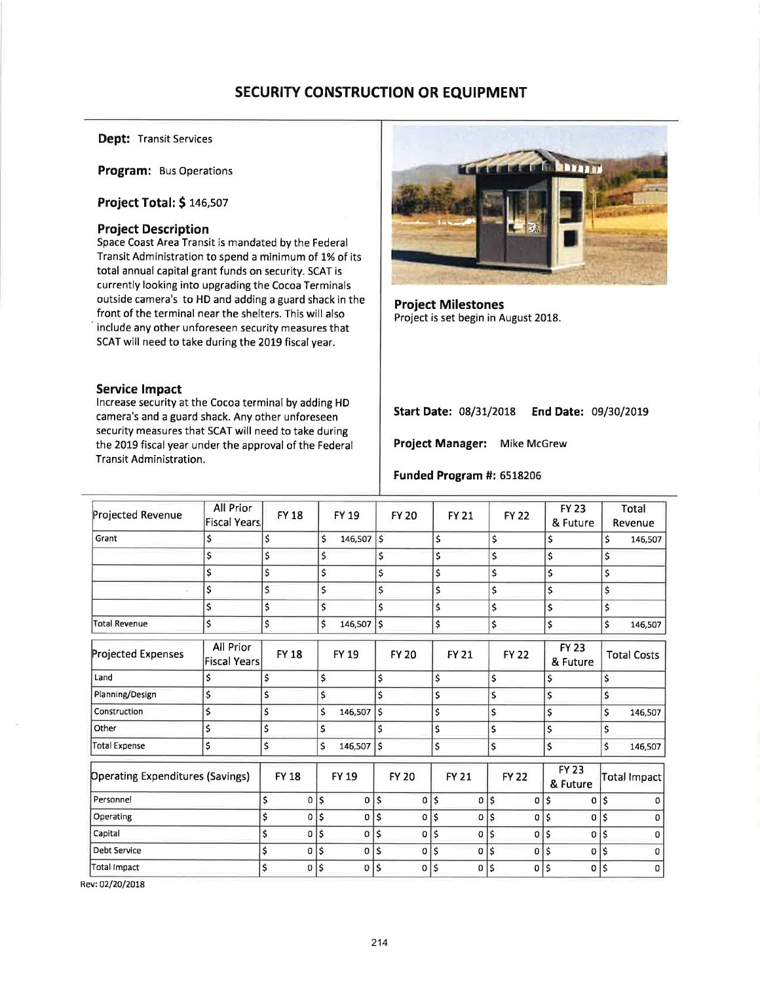# SECURITY CONSTRUCTION OR EqUIPMENT

Dept: Transit Services

Program: Bus Operations

Project Total: \$ 146,507

#### Project Description

Space Coast Area Transit is mandated by the Federal Transit Administration to spend a minimum of 1% of its total annual capital grant funds on security. SCAT is currently looking into upgrading the Cocoa Terminals outside camera's to HD and adding a guard shack in the front of the terminal near the shelters. This will also include any other unforeseen security measures that SCAT will need to take during the 2019 fiscal year.

#### Service lmpact

lncrease security at the Cocoa terminal by adding HD camera's and a guard shack. Any other unforeseen security measures that SCAT will need to take during the 2019 fiscal year under the approval of the Federal Transit Administration.



Project Milestones Project is set begin in August 2018.

Start Date: 08/31/2018 End Date: 09/30/2019

Project Manager: Mike McGrew

#### Funded Program #: 6518206

| Projected Revenue                       | <b>All Prior</b><br><b>Fiscal Years</b> | <b>FY18</b>  |                    | FY 19        |                    | <b>FY 20</b> | <b>FY 21</b>   |        | <b>FY 22</b> |              | <b>FY 23</b><br>& Future |    | Total<br>Revenue   |
|-----------------------------------------|-----------------------------------------|--------------|--------------------|--------------|--------------------|--------------|----------------|--------|--------------|--------------|--------------------------|----|--------------------|
| Grant                                   | \$                                      | \$           | \$                 | $146,507$ \$ |                    |              | \$             | \$     |              | \$           |                          | \$ | 146,507            |
|                                         | \$                                      | \$           | \$                 |              | \$                 |              | \$             | \$     |              | \$           |                          | \$ |                    |
|                                         | \$                                      | \$           | \$                 |              | \$                 |              | \$             | \$     |              | \$           |                          | \$ |                    |
|                                         | \$                                      | \$           | \$                 |              | \$                 |              | \$             | \$     |              | \$           |                          | \$ |                    |
|                                         | \$                                      | \$           | \$                 |              | Ś.                 |              | \$             | \$     |              | \$           |                          | \$ |                    |
| <b>Total Revenue</b>                    | \$                                      | \$           | \$                 | 146,507      | \$                 |              | \$             | \$     |              | \$           |                          | \$ | 146,507            |
| Projected Expenses                      | All Prior<br><b>Fiscal Years</b>        | <b>FY 18</b> |                    | FY 19        |                    | <b>FY 20</b> | <b>FY 21</b>   |        | <b>FY 22</b> |              | <b>FY 23</b><br>& Future |    | <b>Total Costs</b> |
| Land                                    | \$                                      | \$           | \$                 |              | \$                 |              | \$             | \$     |              | \$           |                          | \$ |                    |
| Planning/Design                         | \$                                      | \$           | \$                 |              | Ś                  |              | \$             | \$     |              | \$           |                          | \$ |                    |
| Construction                            | \$                                      | \$           | \$                 | 146,507      | \$                 |              | \$             | \$     |              | \$           |                          | \$ | 146,507            |
| Other                                   | \$                                      | \$           | \$                 |              | Ś                  |              | \$             | \$     |              | \$           |                          | \$ |                    |
| <b>Total Expense</b>                    | \$                                      | \$           | \$                 | 146,507   \$ |                    |              | \$             | \$     |              | \$           |                          | \$ | 146,507            |
| <b>Operating Expenditures (Savings)</b> |                                         | <b>FY 18</b> |                    | <b>FY 19</b> |                    | <b>FY 20</b> | <b>FY 21</b>   |        | <b>FY 22</b> |              | <b>FY 23</b><br>& Future |    | Total Impact       |
| Personnel                               |                                         | \$           | \$<br>$\mathbf{0}$ | $\mathsf{o}$ | $\mathsf{\hat{S}}$ | 0            | \$             | $0$ \$ | 0            | ۱\$          | 0                        | \$ | n                  |
| Operating                               |                                         | \$           | \$<br>0            | 0            | Ś                  | 0            | \$<br>$\Omega$ | \$     | 0            | \$           | 0                        | \$ | $\Omega$           |
| Capital                                 |                                         | \$           | \$<br>0            | 0            | \$                 | 0            | \$<br>οl       | \$     | 0            | ١\$          | $\mathbf{0}$             | Ś  | $\Omega$           |
| Debt Service                            |                                         | \$           | \$<br>0            | $\Omega$     | Ś                  | 0            | \$<br>0        | \$     | $\Omega$     | $\mathsf{s}$ | 0                        | Ś  | O                  |
| Total Impact                            |                                         | \$           | \$<br>$\Omega$     | 0            | Ś                  | 0            | \$<br>0        | \$     | 0            | \$.          | 0                        | Ś  | $\Omega$           |

Rev: 02/20/2018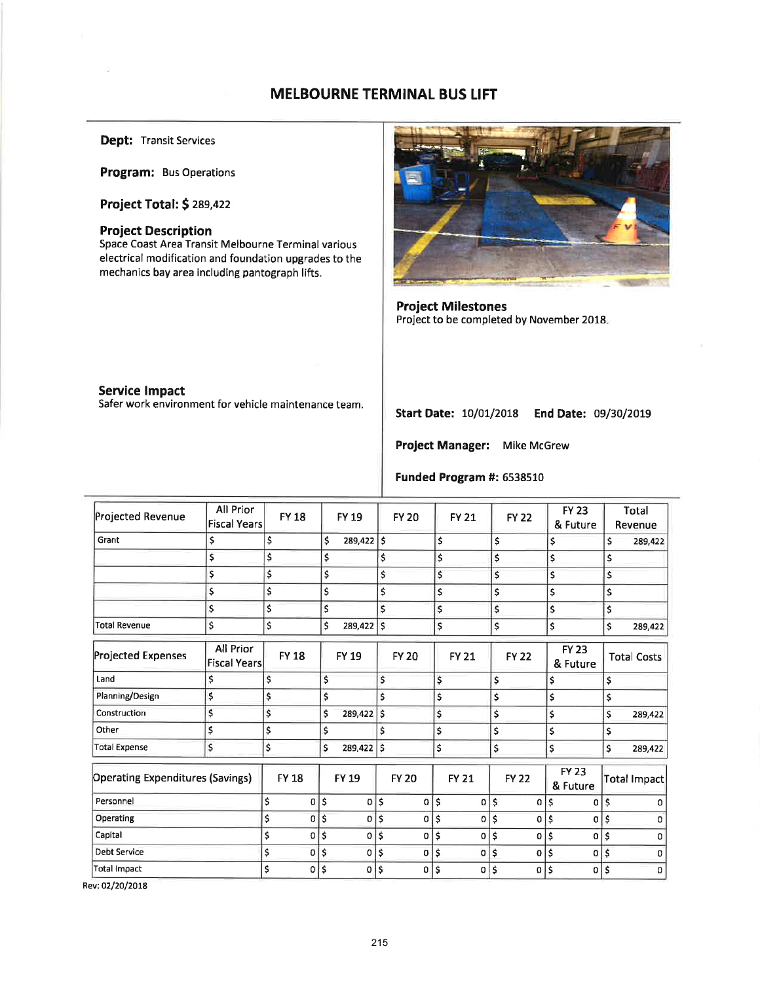# MELBOURNE TERMINAL BUS LIFT

Dept: Transit Services

Program: Bus Operations

Project Total: \$ 289,422

## Project Description

Space Coast Area Transit Melbourne Terminal various electrical modification and foundation upgrades to the mechanics bay area including pantograph lifts.



Project Milestones Project to be completed by November 2018

#### Service lmpact

Safer work environment for vehicle maintenance team.

Start Date: 10/01/2018 End Date: 09/30/2019

Project Manager: Mike McGrew

# Funded Program #: 6538510

| Projected Revenue                       | All Prior<br><b>Fiscal Years</b> | <b>FY18</b>  |     | FY 19        | <b>FY 20</b> | <b>FY 21</b>         | <b>FY 22</b> |                    | <b>FY 23</b><br>& Future |    | Total<br>Revenue    |
|-----------------------------------------|----------------------------------|--------------|-----|--------------|--------------|----------------------|--------------|--------------------|--------------------------|----|---------------------|
| Grant                                   | \$                               | \$           | \$  | $289,422$ \$ |              | \$                   | \$           |                    | \$                       | \$ | 289,422             |
|                                         | \$                               | \$           | \$  |              | \$           | \$                   | \$           |                    | \$                       | \$ |                     |
|                                         | \$                               | \$           | \$  |              | \$           | \$                   | \$           |                    | \$                       | \$ |                     |
|                                         | \$                               | \$           | \$  |              | \$           | \$                   | \$           |                    | \$                       | \$ |                     |
|                                         | \$                               | \$           | \$  |              | \$           | \$                   | \$           |                    | \$                       | \$ |                     |
| <b>Total Revenue</b>                    | \$                               | \$           | \$  | 289,422      | \$           | \$                   | \$           |                    | \$                       | \$ | 289,422             |
| Projected Expenses                      | All Prior<br><b>Fiscal Years</b> | <b>FY 18</b> |     | FY 19        | <b>FY 20</b> | <b>FY 21</b>         | <b>FY 22</b> |                    | <b>FY 23</b><br>& Future |    | <b>Total Costs</b>  |
| Land                                    | \$                               | \$           | \$  |              | \$           | \$                   | \$           |                    | \$                       | \$ |                     |
| Planning/Design                         | \$                               | \$           | \$  |              | \$           | \$                   | \$           |                    | \$                       | \$ |                     |
| Construction                            | \$                               | \$           | \$  | 289,422      | \$           | \$                   | \$           |                    | \$                       | \$ | 289,422             |
| Other                                   | \$                               | \$           | \$  |              | \$           | \$                   | \$           | \$                 |                          | \$ |                     |
| <b>Total Expense</b>                    | \$                               | \$           | \$  | 289,422      | \$           | \$                   | \$           | $\mathsf{\hat{S}}$ |                          | \$ | 289,422             |
| <b>Operating Expenditures (Savings)</b> |                                  | <b>FY 18</b> |     | <b>FY 19</b> | <b>FY 20</b> | <b>FY 21</b>         | <b>FY 22</b> |                    | <b>FY 23</b><br>& Future |    | <b>Total Impact</b> |
| Personnel                               |                                  | \$<br>0      | ۱\$ | 0            | \$<br>0      | \$<br>$\mathbf{0}$   | \$<br>0      | \$                 | $\mathbf{0}$             | \$ | 0                   |
| Operating                               |                                  | \$<br>0      | ¦\$ | 0 S          | 0            | \$<br>$\overline{0}$ | \$<br>0      | \$                 | $\mathbf{0}$             | Ŝ  | o                   |
| Capital                                 |                                  | \$<br>0      | \$  | 0            | \$<br>0      | \$<br>$\Omega$       | \$<br>0      | \$                 | 0                        | \$ | 0                   |
| <b>Debt Service</b>                     |                                  | \$<br>0      | \$  | 0            | \$<br>0      | \$<br>0              | \$<br>0      | \$                 | 0                        | \$ | $\mathbf 0$         |
| Total Impact                            |                                  | \$<br>0      | \$, | 0            | \$<br>0      | \$<br>$\Omega$       | \$<br>0      | ۱\$                | $\overline{0}$           | \$ | 0                   |
|                                         |                                  |              |     |              |              |                      |              |                    |                          |    |                     |

Rev: 02/20/2018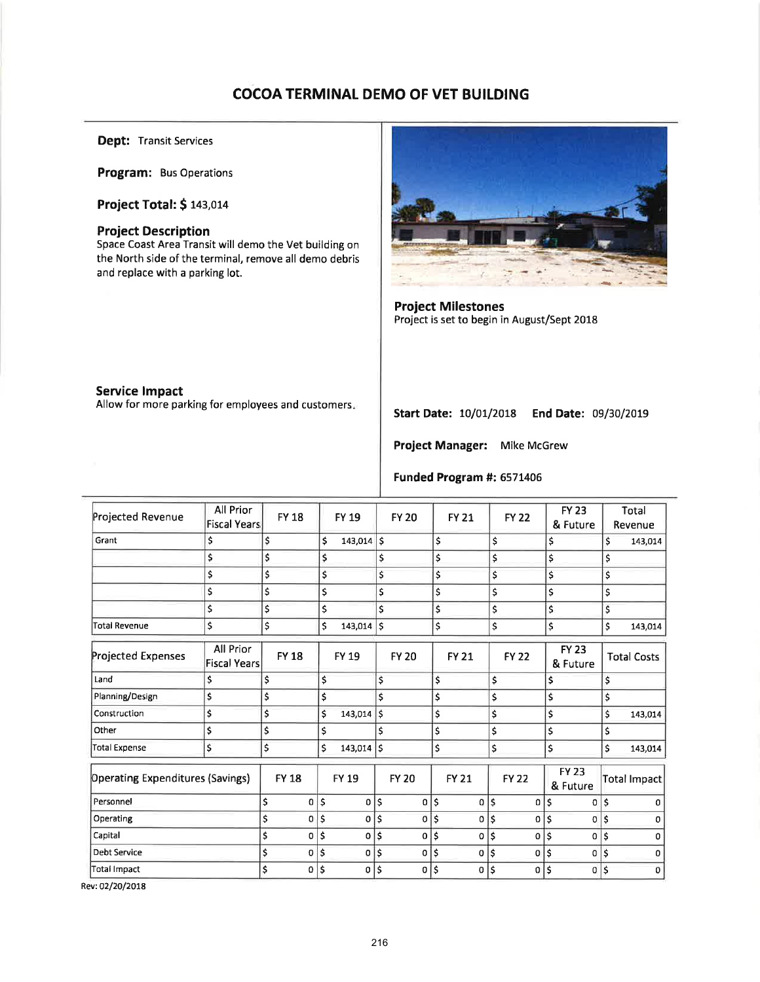# COCOA TERMINAL DEMO OF VET BUILDING

Dept: Transit Services

Program: Bus Operations

Project Total: \$ 143,014

## Project Description

Space Coast Area Transit will demo the Vet building on the North side of the terminal, remove all demo debris and replace with a parking lot.



Project Milestones Project is set to begin in August/Sept 2018

## Service lmpact

Allow for more parking for employees and customers.

Start Date: 10/01/2018 End Date: 09/30/2019

Project Manager: Mike McGrew

## Funded Program #: 6571406

| Projected Revenue                       | All Prior<br><b>Fiscal Years</b> | <b>FY 18</b> |     | <b>FY 19</b> |                     | <b>FY 20</b> |            | <b>FY 21</b> |        | <b>FY 22</b>   | <b>FY 23</b><br>& Future |    | Total<br>Revenue   |         |
|-----------------------------------------|----------------------------------|--------------|-----|--------------|---------------------|--------------|------------|--------------|--------|----------------|--------------------------|----|--------------------|---------|
| Grant                                   | \$                               | \$           | \$  | 143,014      | $\ddot{\mathsf{s}}$ |              |            | \$           | \$     |                | \$                       | \$ |                    | 143,014 |
|                                         | \$                               | \$           | \$  |              | \$                  |              |            | \$           | \$     |                | \$                       | \$ |                    |         |
|                                         | \$                               | \$           | \$  |              | \$                  |              |            | \$           | \$     |                | \$                       | \$ |                    |         |
|                                         | \$                               | \$           | \$  |              | \$                  |              |            | \$           | \$     |                | \$                       | \$ |                    |         |
|                                         | \$                               | \$           | \$  |              | \$                  |              |            | \$           | \$     |                | \$                       | \$ |                    |         |
| <b>Total Revenue</b>                    | \$                               | \$           | \$  | 143,014      | \$                  |              |            | \$           | \$     |                | \$                       | \$ |                    | 143,014 |
| <b>Projected Expenses</b>               | All Prior<br><b>Fiscal Years</b> | <b>FY 18</b> |     | <b>FY 19</b> |                     | <b>FY 20</b> |            | <b>FY 21</b> |        | <b>FY 22</b>   | <b>FY 23</b><br>& Future |    | <b>Total Costs</b> |         |
| Land                                    | \$                               | \$           | \$  |              | \$                  |              |            | \$           | \$     |                | \$                       | \$ |                    |         |
| Planning/Design                         | \$                               | \$           | \$  |              | \$                  |              |            | \$           | \$     |                | \$                       | \$ |                    |         |
| Construction                            | \$                               | \$           | \$  | 143,014      | \$                  |              |            | \$           | \$     |                | \$                       | \$ |                    | 143,014 |
| Other                                   | \$                               | \$           | \$  |              | \$                  |              |            | \$           | \$     |                | \$                       | \$ |                    |         |
| <b>Total Expense</b>                    | $\mathsf{S}\xspace$              | \$           | \$  | 143,014      | ١ś                  |              |            | \$           | \$     |                | \$                       | \$ |                    | 143,014 |
| <b>Operating Expenditures (Savings)</b> |                                  | <b>FY 18</b> |     | <b>FY 19</b> |                     | <b>FY 20</b> |            | <b>FY 21</b> |        | <b>FY 22</b>   | <b>FY 23</b><br>& Future |    | Total Impact       |         |
| Personnel                               |                                  | \$<br>0      | \$  | 0            | $\vert \mathsf{s}$  | 0            | $\vert$ \$ |              | $0$ \$ | $\Omega$       | \$<br>0                  | \$ |                    | 0       |
| Operating                               |                                  | \$<br>0      | \$  | 0            | `\$                 | 0            | \$         | $\Omega$     | \$     | $\mathbf{0}$   | \$<br>0                  | Ś  |                    | n       |
| Capital                                 |                                  | \$<br>0      | \$  | $\mathbf{0}$ | \$                  | 0            | \$         | 0            | \$     | $\overline{0}$ | \$<br>0                  | \$ |                    | 0       |
| <b>Debt Service</b>                     |                                  | \$<br>0      | ۱\$ | $\mathbf{0}$ | \$                  | 0            | \$         | 0            | 5      | $\sigma$       | \$<br>0                  | \$ |                    | 0       |
| Total Impact                            |                                  | \$<br>0      | ۱\$ | $\mathbf{0}$ | \$                  | 0            | \$         | 0            | ۱\$    | $\Omega$       | \$<br>0                  | \$ |                    | 0       |

Reu:O2/2o/2oI8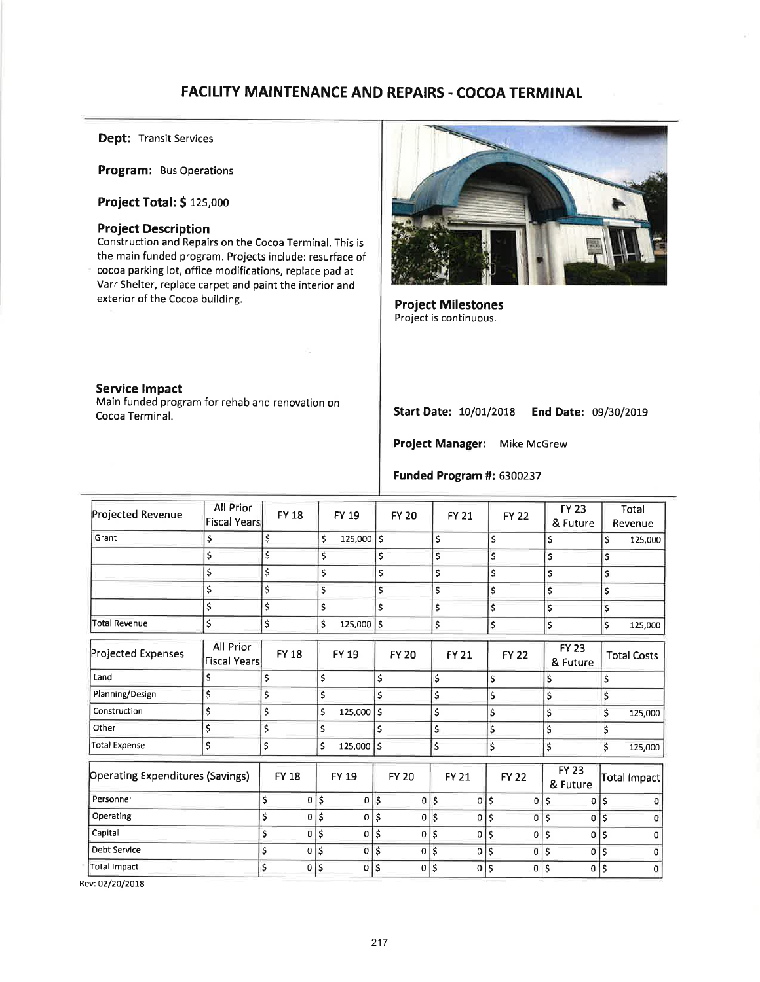# FACILITY MAINTENANCE AND REPAIRS - COCOA TERMINAL

Dept: Transit Services

Program: Bus Operations

Project Total: \$125,000

# Project Description

Construction and Repairs on the Cocoa Terminal. This is the main funded program. Projects include: resurface of cocoa parking lot, office modifications, replace pad at Varr Shelter, replace carpet and paint the interior and exterior of the Cocoa building.



Project Milestones Project is continuous.

## Service lmpact

Main funded program for rehab and renovation on Cocoa Terminal.

|  | <b>Start Date: 10/01/2018</b> |  | End Date: 09/30/2019 |
|--|-------------------------------|--|----------------------|
|--|-------------------------------|--|----------------------|

Project Manager: Mike McGrew

#### Funded Program #: 6300237

| Projected Revenue                | All Prior<br><b>Fiscal Years</b> | <b>FY 18</b> |                | FY 19              |            | <b>FY 20</b> | <b>FY 21</b>   |          | <b>FY 22</b> |     | <b>FY 23</b><br>& Future |    | Total<br>Revenue   |
|----------------------------------|----------------------------------|--------------|----------------|--------------------|------------|--------------|----------------|----------|--------------|-----|--------------------------|----|--------------------|
| Grant                            | \$                               | \$           |                | \$<br>$125,000$ \$ |            |              | \$             | \$       |              | \$  |                          | \$ | 125,000            |
|                                  | \$                               | \$           |                | \$                 | \$         |              | \$             | \$       |              | \$  |                          | \$ |                    |
|                                  | \$                               | \$           |                | \$                 | \$         |              | \$             | \$       |              | \$  |                          | \$ |                    |
|                                  | \$                               | Ş            |                | \$                 | \$         |              | \$             | \$       |              | \$  |                          | \$ |                    |
|                                  | \$                               | \$           |                | \$                 | \$         |              | \$             | \$       |              | \$  |                          | \$ |                    |
| <b>Total Revenue</b>             | \$                               | \$           |                | Ś<br>125,000       | \$         |              | \$             | \$       |              | \$  |                          | \$ | 125,000            |
| Projected Expenses               | All Prior<br><b>Fiscal Years</b> | <b>FY 18</b> |                | FY 19              |            | <b>FY 20</b> | <b>FY 21</b>   |          | <b>FY 22</b> |     | <b>FY 23</b><br>& Future |    | <b>Total Costs</b> |
| Land                             | \$                               | \$           |                | \$                 | $\ddot{s}$ |              | \$             | \$       |              | \$  |                          | \$ |                    |
| Planning/Design                  | \$                               | \$           |                | \$                 | \$         |              | \$             | \$       |              | \$  |                          | \$ |                    |
| Construction                     | \$                               | \$           |                | \$<br>125,000      | \$         |              | \$             | \$       |              | \$  |                          | \$ | 125,000            |
| Other                            | \$                               | \$           |                | \$                 | \$         |              | \$             | \$       |              | \$  |                          | \$ |                    |
| <b>Total Expense</b>             | \$                               | \$           |                | \$<br>125,000      | \$         |              | \$             | \$       |              | \$  |                          | \$ | 125,000            |
| Operating Expenditures (Savings) |                                  | <b>FY 18</b> |                | <b>FY 19</b>       |            | <b>FY 20</b> | <b>FY 21</b>   |          | <b>FY 22</b> |     | <b>FY 23</b><br>& Future |    | Total Impact       |
| Personnel                        |                                  | \$           | \$<br> 0       |                    | $0$   \$   | 0            | \$             | $0$   \$ | 0            | ١\$ | 0                        | \$ | 0                  |
| Operating                        |                                  | \$           | \$<br>$\Omega$ | 0                  | Ś          | 0            | \$<br>$\Omega$ | \$       | 0            | Ś   | 0                        | Ś  | o                  |
| Capital                          |                                  | \$           | \$<br>0        | 0                  | \$         | 0            | \$<br>0        | \$       | 0            | \$  | 0                        | \$ | $\Omega$           |
| Debt Service                     |                                  | \$           | \$<br>0        | 0                  | \$         | 0            | \$<br>$\sigma$ | \$       | 0            | \$  | 0                        | \$ | $\mathbf 0$        |
| Total Impact                     |                                  | \$           | $0$   \$       | $\mathbf{O}$       | \$         | 0            | \$<br>0        | \$       | 0            | \$  | 0                        | \$ | 0                  |
|                                  |                                  |              |                |                    |            |              |                |          |              |     |                          |    |                    |

Rev:02/20/2078